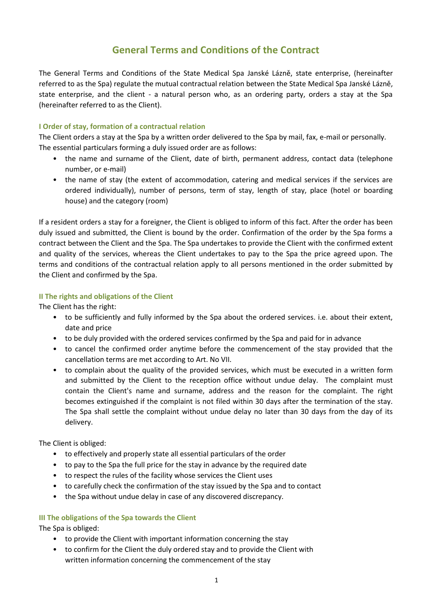# **General Terms and Conditions of the Contract**

The General Terms and Conditions of the State Medical Spa Janské Lázně, state enterprise, (hereinafter referred to as the Spa) regulate the mutual contractual relation between the State Medical Spa Janské Lázně, state enterprise, and the client - a natural person who, as an ordering party, orders a stay at the Spa (hereinafter referred to as the Client).

## **I Order of stay, formation of a contractual relation**

The Client orders a stay at the Spa by a written order delivered to the Spa by mail, fax, e-mail or personally. The essential particulars forming a duly issued order are as follows:

- the name and surname of the Client, date of birth, permanent address, contact data (telephone number, or e-mail)
- the name of stay (the extent of accommodation, catering and medical services if the services are ordered individually), number of persons, term of stay, length of stay, place (hotel or boarding house) and the category (room)

If a resident orders a stay for a foreigner, the Client is obliged to inform of this fact. After the order has been duly issued and submitted, the Client is bound by the order. Confirmation of the order by the Spa forms a contract between the Client and the Spa. The Spa undertakes to provide the Client with the confirmed extent and quality of the services, whereas the Client undertakes to pay to the Spa the price agreed upon. The terms and conditions of the contractual relation apply to all persons mentioned in the order submitted by the Client and confirmed by the Spa.

### **II The rights and obligations of the Client**

The Client has the right:

- to be sufficiently and fully informed by the Spa about the ordered services. i.e. about their extent, date and price
- to be duly provided with the ordered services confirmed by the Spa and paid for in advance
- to cancel the confirmed order anytime before the commencement of the stay provided that the cancellation terms are met according to Art. No VII.
- to complain about the quality of the provided services, which must be executed in a written form and submitted by the Client to the reception office without undue delay. The complaint must contain the Client's name and surname, address and the reason for the complaint. The right becomes extinguished if the complaint is not filed within 30 days after the termination of the stay. The Spa shall settle the complaint without undue delay no later than 30 days from the day of its delivery.

The Client is obliged:

- to effectively and properly state all essential particulars of the order
- to pay to the Spa the full price for the stay in advance by the required date
- to respect the rules of the facility whose services the Client uses
- to carefully check the confirmation of the stay issued by the Spa and to contact
- the Spa without undue delay in case of any discovered discrepancy.

# **III The obligations of the Spa towards the Client**

The Spa is obliged:

- to provide the Client with important information concerning the stay
- to confirm for the Client the duly ordered stay and to provide the Client with written information concerning the commencement of the stay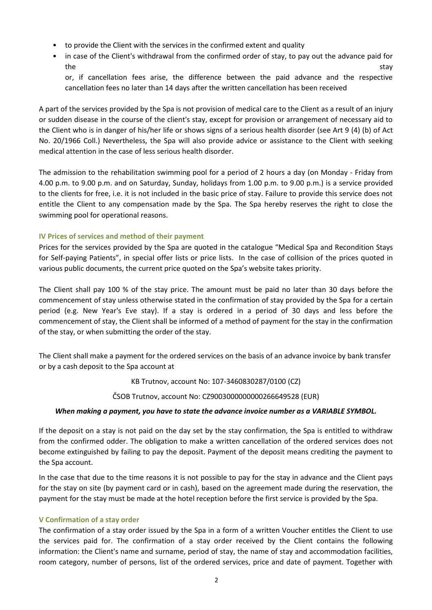- to provide the Client with the services in the confirmed extent and quality
- in case of the Client's withdrawal from the confirmed order of stay, to pay out the advance paid for the stay is a stay of the stay of the stay is a stay of the stay in the stay is stay in the stay in the stay is

or, if cancellation fees arise, the difference between the paid advance and the respective cancellation fees no later than 14 days after the written cancellation has been received

A part of the services provided by the Spa is not provision of medical care to the Client as a result of an injury or sudden disease in the course of the client's stay, except for provision or arrangement of necessary aid to the Client who is in danger of his/her life or shows signs of a serious health disorder (see Art 9 (4) (b) of Act No. 20/1966 Coll.) Nevertheless, the Spa will also provide advice or assistance to the Client with seeking medical attention in the case of less serious health disorder.

The admission to the rehabilitation swimming pool for a period of 2 hours a day (on Monday - Friday from 4.00 p.m. to 9.00 p.m. and on Saturday, Sunday, holidays from 1.00 p.m. to 9.00 p.m.) is a service provided to the clients for free, i.e. it is not included in the basic price of stay. Failure to provide this service does not entitle the Client to any compensation made by the Spa. The Spa hereby reserves the right to close the swimming pool for operational reasons.

# **IV Prices of services and method of their payment**

Prices for the services provided by the Spa are quoted in the catalogue "Medical Spa and Recondition Stays for Self-paying Patients", in special offer lists or price lists. In the case of collision of the prices quoted in various public documents, the current price quoted on the Spa's website takes priority.

The Client shall pay 100 % of the stay price. The amount must be paid no later than 30 days before the commencement of stay unless otherwise stated in the confirmation of stay provided by the Spa for a certain period (e.g. New Year's Eve stay). If a stay is ordered in a period of 30 days and less before the commencement of stay, the Client shall be informed of a method of payment for the stay in the confirmation of the stay, or when submitting the order of the stay.

The Client shall make a payment for the ordered services on the basis of an advance invoice by bank transfer or by a cash deposit to the Spa account at

KB Trutnov, account No: 107-3460830287/0100 (CZ)

ČSOB Trutnov, account No: CZ9003000000000266649528 (EUR)

# *When making a payment, you have to state the advance invoice number as a VARIABLE SYMBOL.*

If the deposit on a stay is not paid on the day set by the stay confirmation, the Spa is entitled to withdraw from the confirmed odder. The obligation to make a written cancellation of the ordered services does not become extinguished by failing to pay the deposit. Payment of the deposit means crediting the payment to the Spa account.

In the case that due to the time reasons it is not possible to pay for the stay in advance and the Client pays for the stay on site (by payment card or in cash), based on the agreement made during the reservation, the payment for the stay must be made at the hotel reception before the first service is provided by the Spa.

# **V Confirmation of a stay order**

The confirmation of a stay order issued by the Spa in a form of a written Voucher entitles the Client to use the services paid for. The confirmation of a stay order received by the Client contains the following information: the Client's name and surname, period of stay, the name of stay and accommodation facilities, room category, number of persons, list of the ordered services, price and date of payment. Together with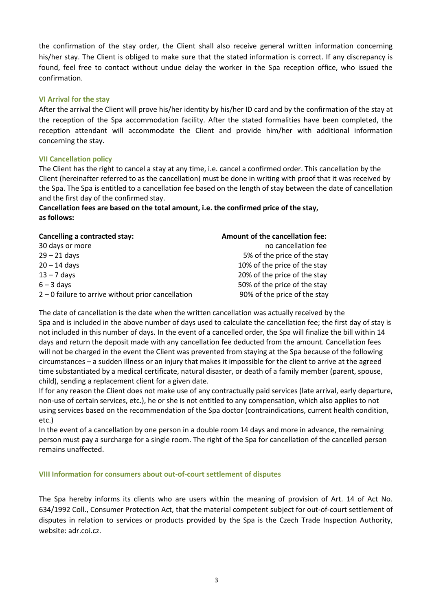the confirmation of the stay order, the Client shall also receive general written information concerning his/her stay. The Client is obliged to make sure that the stated information is correct. If any discrepancy is found, feel free to contact without undue delay the worker in the Spa reception office, who issued the confirmation.

#### **VI Arrival for the stay**

After the arrival the Client will prove his/her identity by his/her ID card and by the confirmation of the stay at the reception of the Spa accommodation facility. After the stated formalities have been completed, the reception attendant will accommodate the Client and provide him/her with additional information concerning the stay.

### **VII Cancellation policy**

The Client has the right to cancel a stay at any time, i.e. cancel a confirmed order. This cancellation by the Client (hereinafter referred to as the cancellation) must be done in writing with proof that it was received by the Spa. The Spa is entitled to a cancellation fee based on the length of stay between the date of cancellation and the first day of the confirmed stay.

**Cancellation fees are based on the total amount, i.e. the confirmed price of the stay, as follows:**

| Cancelling a contracted stay:                        | Amount of the cancellation fee: |
|------------------------------------------------------|---------------------------------|
| 30 days or more                                      | no cancellation fee             |
| $29 - 21$ days                                       | 5% of the price of the stay     |
| $20 - 14$ days                                       | 10% of the price of the stay    |
| $13 - 7$ days                                        | 20% of the price of the stay    |
| $6 - 3$ days                                         | 50% of the price of the stay    |
| $2 - 0$ failure to arrive without prior cancellation | 90% of the price of the stay    |

The date of cancellation is the date when the written cancellation was actually received by the Spa and is included in the above number of days used to calculate the cancellation fee; the first day of stay is not included in this number of days. In the event of a cancelled order, the Spa will finalize the bill within 14 days and return the deposit made with any cancellation fee deducted from the amount. Cancellation fees will not be charged in the event the Client was prevented from staying at the Spa because of the following circumstances – a sudden illness or an injury that makes it impossible for the client to arrive at the agreed time substantiated by a medical certificate, natural disaster, or death of a family member (parent, spouse, child), sending a replacement client for a given date.

If for any reason the Client does not make use of any contractually paid services (late arrival, early departure, non-use of certain services, etc.), he or she is not entitled to any compensation, which also applies to not using services based on the recommendation of the Spa doctor (contraindications, current health condition, etc.)

In the event of a cancellation by one person in a double room 14 days and more in advance, the remaining person must pay a surcharge for a single room. The right of the Spa for cancellation of the cancelled person remains unaffected.

#### **VIII Information for consumers about out-of-court settlement of disputes**

The Spa hereby informs its clients who are users within the meaning of provision of Art. 14 of Act No. 634/1992 Coll., Consumer Protection Act, that the material competent subject for out-of-court settlement of disputes in relation to services or products provided by the Spa is the Czech Trade Inspection Authority, website: adr.coi.cz.